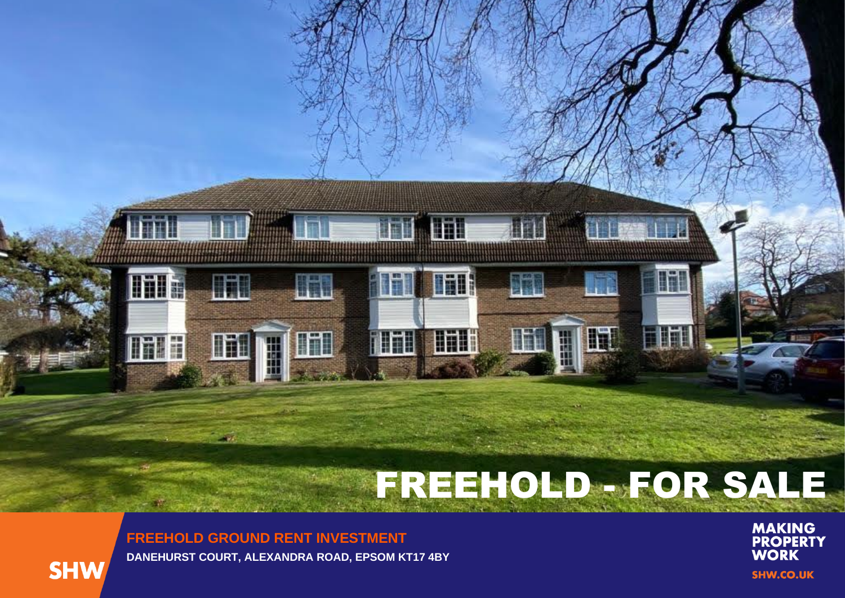# FREEHOLD - FOR SALE

**IFI** 

H

i ili

**FREEHOLD GROUND RENT INVESTMENT DANEHURST COURT, ALEXANDRA ROAD, EPSOM KT17 4BY**

**Will** 

H

In

**Linum Linu** 

**flial** 

iäl!

**UTIL** 

ATH

UT



TΠ

**Till**a

mar

**MAKING<br>PROPERTY<br>WORK SHW.CO.UK**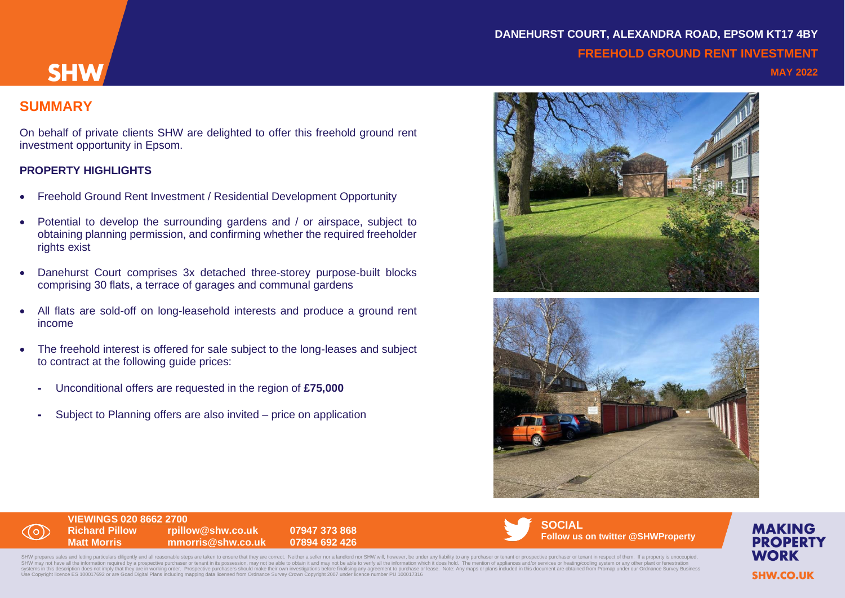# **DANEHURST COURT, ALEXANDRA ROAD, EPSOM KT17 4BY FREEHOLD GROUND RENT INVESTMENT**

# **SUMMARY**

**SHW** 

On behalf of private clients SHW are delighted to offer this freehold ground rent investment opportunity in Epsom.

#### **PROPERTY HIGHLIGHTS**

- Freehold Ground Rent Investment / Residential Development Opportunity
- Potential to develop the surrounding gardens and / or airspace, subject to obtaining planning permission, and confirming whether the required freeholder rights exist
- Danehurst Court comprises 3x detached three-storey purpose-built blocks comprising 30 flats, a terrace of garages and communal gardens
- All flats are sold-off on long-leasehold interests and produce a ground rent income
- The freehold interest is offered for sale subject to the long-leases and subject to contract at the following guide prices:
	- Unconditional offers are requested in the region of **£75,000**
	- Subject to Planning offers are also invited price on application





# **VIEWINGS 020 8662 2700**

**Richard Pillow rpillow@shw.co.uk 07947 373 868 Matt Morris mmorris@shw.co.uk 07894 692 426**



SHW prepares sales and letting particulars diligently and all reasonable steps are taken to ensure that they are correct. Neither a seller nor a landlord nor SHW will, however, be under any liability to any purchaser or te SHW may not have all the information required by a prospective purchaser or tenant in its possession, may not be able to obtain it and may not be able to verify all the information which it does hold. The mention of applia systems in this description does not imply that they are in working order. Prospective purchasers should make their own investigations before finalising any agreement to purchase or lease. Note: Any maps or plans included **MAKING PROPERTY WORK SHW.CO.UK**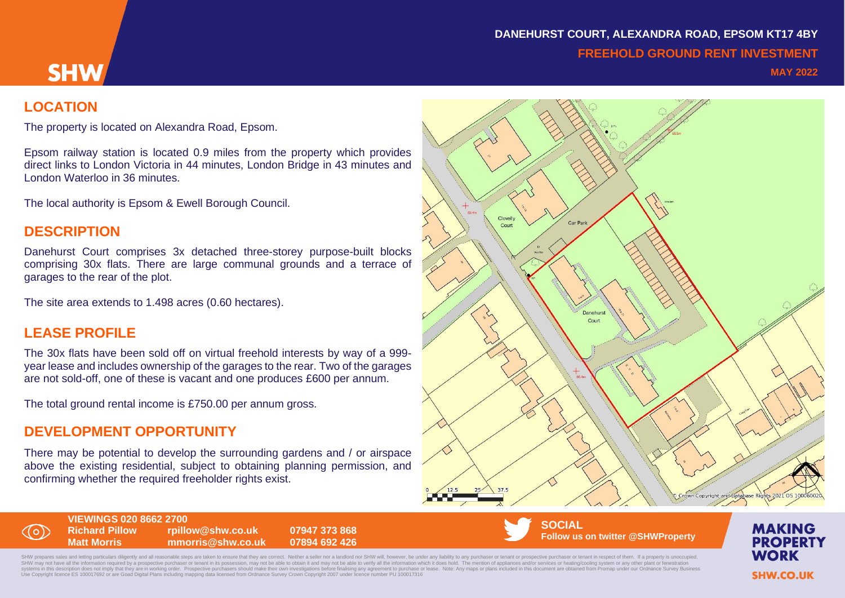# **DANEHURST COURT, ALEXANDRA ROAD, EPSOM KT17 4BY FREEHOLD GROUND RENT INVESTMENT**

#### **MAY 2022**

#### **LOCATION**

**SHW** 

The property is located on Alexandra Road, Epsom.

Epsom railway station is located 0.9 miles from the property which provides direct links to London Victoria in 44 minutes, London Bridge in 43 minutes and London Waterloo in 36 minutes.

The local authority is Epsom & Ewell Borough Council.

#### **DESCRIPTION**

Danehurst Court comprises 3x detached three-storey purpose-built blocks comprising 30x flats. There are large communal grounds and a terrace of garages to the rear of the plot.

The site area extends to 1.498 acres (0.60 hectares).

#### **LEASE PROFILE**

( O )

The 30x flats have been sold off on virtual freehold interests by way of a 999 year lease and includes ownership of the garages to the rear. Two of the garages are not sold-off, one of these is vacant and one produces £600 per annum.

The total ground rental income is £750.00 per annum gross.

#### **DEVELOPMENT OPPORTUNITY**

There may be potential to develop the surrounding gardens and / or airspace above the existing residential, subject to obtaining planning permission, and confirming whether the required freeholder rights exist.



**VIEWINGS 020 8662 2700 Richard Pillow rpillow@shw.co.uk 07947 373 868 Matt Morris mmorris@shw.co.uk 07894 692 426**

**SOCIAL Follow us on twitter @SHWProperty**

SHW prenares sales and letting particulars diligently and all reasonable steps are taken to ensure that they are correct. Neither a seller nor a landlord nor SHW will, however, be under any liability to any purchaser or te SHW may not have all the information required by a prospective purchaser or tenant in its possession, may not be able to obtain it and may not be able to verify all the information which it does hold. The mention of applia systems in this description does not imply that they are in working order. Prospective purchasers should make their own investigations before finalising any agreement to purchase or lease. Note: Any maps or plans included

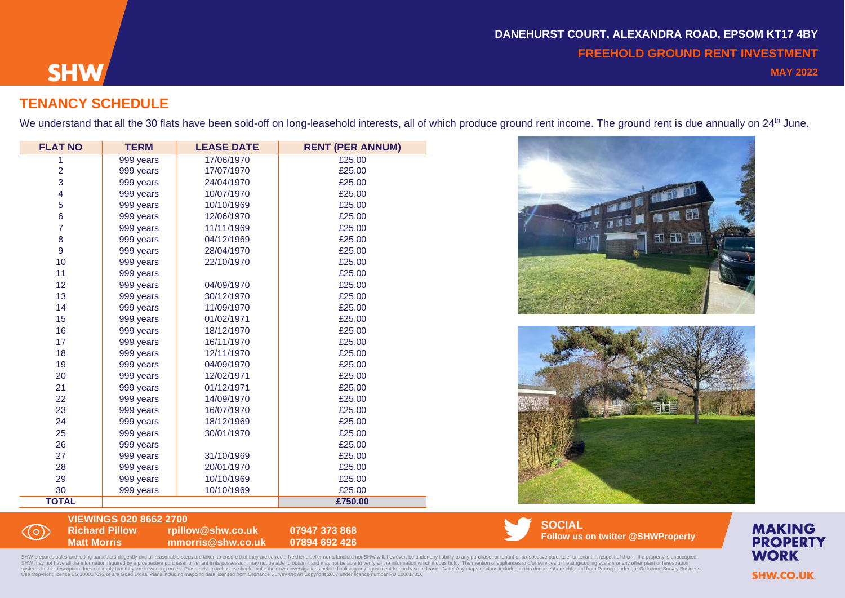# **SHW**

((o)

### **TENANCY SCHEDULE**

We understand that all the 30 flats have been sold-off on long-leasehold interests, all of which produce ground rent income. The ground rent is due annually on 24<sup>th</sup> June.

| <b>FLAT NO</b> | <b>TERM</b> | <b>LEASE DATE</b> | <b>RENT (PER ANNUM)</b> |
|----------------|-------------|-------------------|-------------------------|
| 1              | 999 years   | 17/06/1970        | £25.00                  |
| $\overline{2}$ | 999 years   | 17/07/1970        | £25.00                  |
| 3              | 999 years   | 24/04/1970        | £25.00                  |
| 4              | 999 years   | 10/07/1970        | £25.00                  |
| 5              | 999 years   | 10/10/1969        | £25.00                  |
| 6              | 999 years   | 12/06/1970        | £25.00                  |
| $\overline{7}$ | 999 years   | 11/11/1969        | £25.00                  |
| 8              | 999 years   | 04/12/1969        | £25.00                  |
| 9              | 999 years   | 28/04/1970        | £25.00                  |
| 10             | 999 years   | 22/10/1970        | £25.00                  |
| 11             | 999 years   |                   | £25.00                  |
| 12             | 999 years   | 04/09/1970        | £25.00                  |
| 13             | 999 years   | 30/12/1970        | £25.00                  |
| 14             | 999 years   | 11/09/1970        | £25.00                  |
| 15             | 999 years   | 01/02/1971        | £25.00                  |
| 16             | 999 years   | 18/12/1970        | £25.00                  |
| 17             | 999 years   | 16/11/1970        | £25.00                  |
| 18             | 999 years   | 12/11/1970        | £25.00                  |
| 19             | 999 years   | 04/09/1970        | £25.00                  |
| 20             | 999 years   | 12/02/1971        | £25.00                  |
| 21             | 999 years   | 01/12/1971        | £25.00                  |
| 22             | 999 years   | 14/09/1970        | £25.00                  |
| 23             | 999 years   | 16/07/1970        | £25.00                  |
| 24             | 999 years   | 18/12/1969        | £25.00                  |
| 25             | 999 years   | 30/01/1970        | £25.00                  |
| 26             | 999 years   |                   | £25.00                  |
| 27             | 999 years   | 31/10/1969        | £25.00                  |
| 28             | 999 years   | 20/01/1970        | £25.00                  |
| 29             | 999 years   | 10/10/1969        | £25.00                  |
| 30             | 999 years   | 10/10/1969        | £25.00                  |
| <b>TOTAL</b>   |             |                   | £750.00                 |





#### **VIEWINGS 020 8662 2700 Richard Pillow rpillow@shw.co.uk 07947 373 868 Matt Morris mmorris@shw.co.uk 07894 692 426**

**SOCIAL Follow us on twitter @SHWProperty**

SHW prepares sales and letting particulars diligently and all reasonable steps are taken to ensure that they are correct. Neither a seller nor a landlord nor SHW will, however, be under any liability to any purchaser or te SHW may not have all the information required by a prospective purchaser or tenant in its possession, may not be able to obtain it and may not be able to verify all the information which it does hold. The mention of applia



**MAKING**